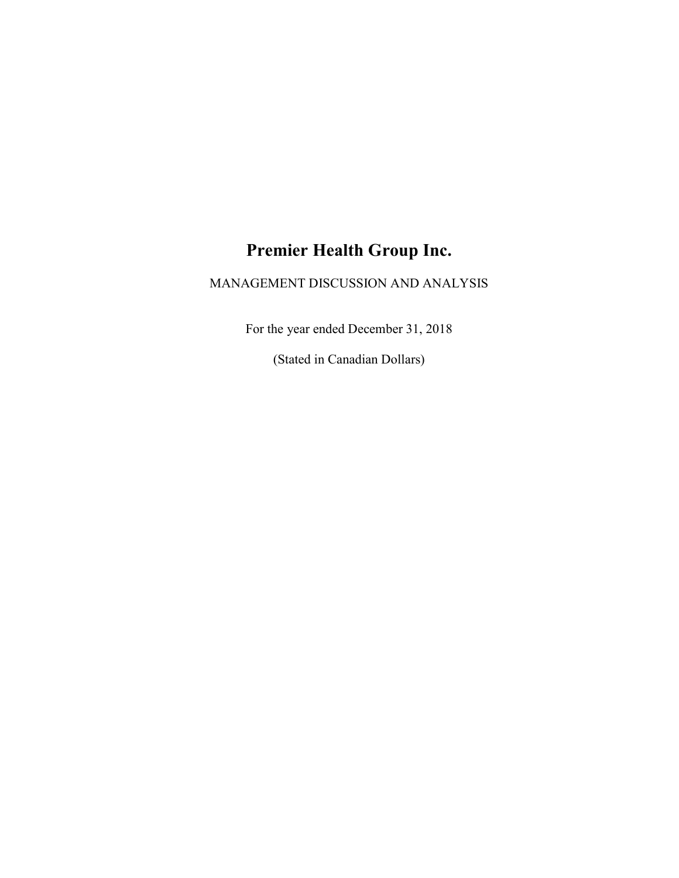# Premier Health Group Inc.

## MANAGEMENT DISCUSSION AND ANALYSIS

For the year ended December 31, 2018

(Stated in Canadian Dollars)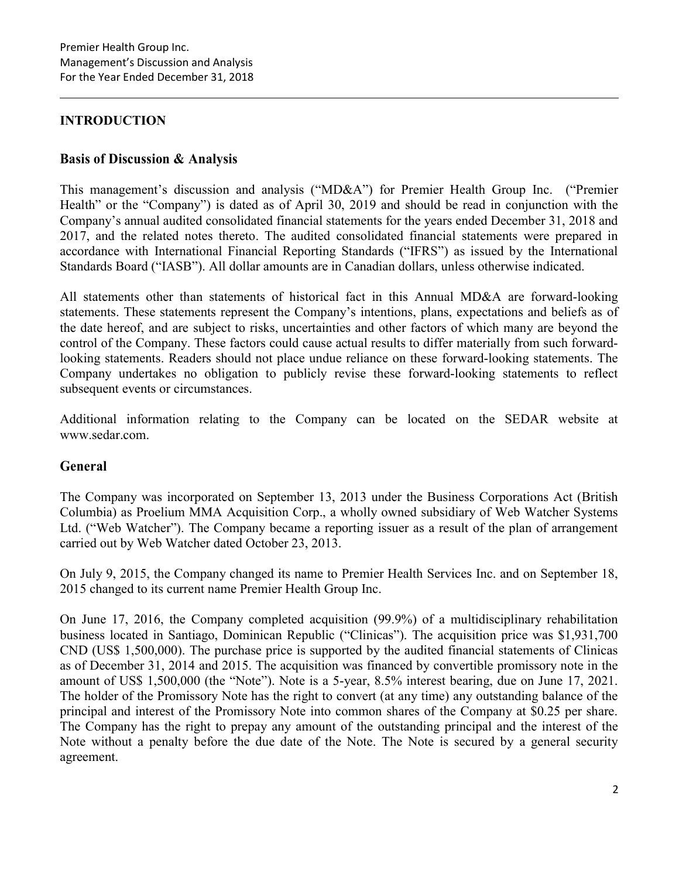## INTRODUCTION

## Basis of Discussion & Analysis

This management's discussion and analysis ("MD&A") for Premier Health Group Inc. ("Premier Health" or the "Company") is dated as of April 30, 2019 and should be read in conjunction with the Company's annual audited consolidated financial statements for the years ended December 31, 2018 and 2017, and the related notes thereto. The audited consolidated financial statements were prepared in accordance with International Financial Reporting Standards ("IFRS") as issued by the International Standards Board ("IASB"). All dollar amounts are in Canadian dollars, unless otherwise indicated.

All statements other than statements of historical fact in this Annual MD&A are forward-looking statements. These statements represent the Company's intentions, plans, expectations and beliefs as of the date hereof, and are subject to risks, uncertainties and other factors of which many are beyond the control of the Company. These factors could cause actual results to differ materially from such forwardlooking statements. Readers should not place undue reliance on these forward-looking statements. The Company undertakes no obligation to publicly revise these forward-looking statements to reflect subsequent events or circumstances.

Additional information relating to the Company can be located on the SEDAR website at www.sedar.com.

## General

The Company was incorporated on September 13, 2013 under the Business Corporations Act (British Columbia) as Proelium MMA Acquisition Corp., a wholly owned subsidiary of Web Watcher Systems Ltd. ("Web Watcher"). The Company became a reporting issuer as a result of the plan of arrangement carried out by Web Watcher dated October 23, 2013.

On July 9, 2015, the Company changed its name to Premier Health Services Inc. and on September 18, 2015 changed to its current name Premier Health Group Inc.

On June 17, 2016, the Company completed acquisition (99.9%) of a multidisciplinary rehabilitation business located in Santiago, Dominican Republic ("Clinicas"). The acquisition price was \$1,931,700 CND (US\$ 1,500,000). The purchase price is supported by the audited financial statements of Clinicas as of December 31, 2014 and 2015. The acquisition was financed by convertible promissory note in the amount of US\$ 1,500,000 (the "Note"). Note is a 5-year, 8.5% interest bearing, due on June 17, 2021. The holder of the Promissory Note has the right to convert (at any time) any outstanding balance of the principal and interest of the Promissory Note into common shares of the Company at \$0.25 per share. The Company has the right to prepay any amount of the outstanding principal and the interest of the Note without a penalty before the due date of the Note. The Note is secured by a general security agreement.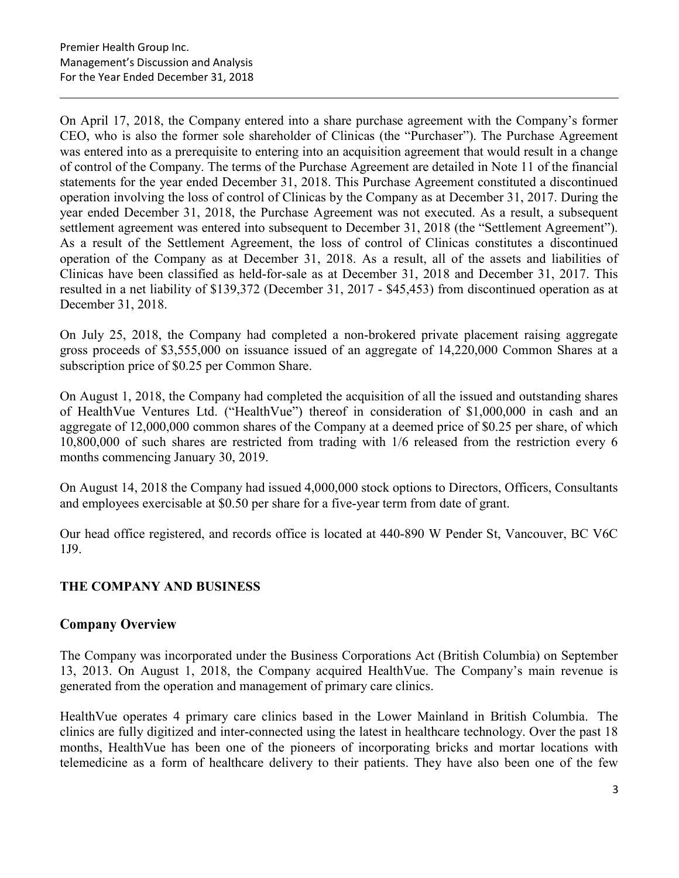On April 17, 2018, the Company entered into a share purchase agreement with the Company's former CEO, who is also the former sole shareholder of Clinicas (the "Purchaser"). The Purchase Agreement was entered into as a prerequisite to entering into an acquisition agreement that would result in a change of control of the Company. The terms of the Purchase Agreement are detailed in Note 11 of the financial statements for the year ended December 31, 2018. This Purchase Agreement constituted a discontinued operation involving the loss of control of Clinicas by the Company as at December 31, 2017. During the year ended December 31, 2018, the Purchase Agreement was not executed. As a result, a subsequent settlement agreement was entered into subsequent to December 31, 2018 (the "Settlement Agreement"). As a result of the Settlement Agreement, the loss of control of Clinicas constitutes a discontinued operation of the Company as at December 31, 2018. As a result, all of the assets and liabilities of Clinicas have been classified as held-for-sale as at December 31, 2018 and December 31, 2017. This resulted in a net liability of \$139,372 (December 31, 2017 - \$45,453) from discontinued operation as at December 31, 2018.

On July 25, 2018, the Company had completed a non-brokered private placement raising aggregate gross proceeds of \$3,555,000 on issuance issued of an aggregate of 14,220,000 Common Shares at a subscription price of \$0.25 per Common Share.

On August 1, 2018, the Company had completed the acquisition of all the issued and outstanding shares of HealthVue Ventures Ltd. ("HealthVue") thereof in consideration of \$1,000,000 in cash and an aggregate of 12,000,000 common shares of the Company at a deemed price of \$0.25 per share, of which 10,800,000 of such shares are restricted from trading with 1/6 released from the restriction every 6 months commencing January 30, 2019.

On August 14, 2018 the Company had issued 4,000,000 stock options to Directors, Officers, Consultants and employees exercisable at \$0.50 per share for a five-year term from date of grant.

Our head office registered, and records office is located at 440-890 W Pender St, Vancouver, BC V6C 1J9.

## THE COMPANY AND BUSINESS

## Company Overview

The Company was incorporated under the Business Corporations Act (British Columbia) on September 13, 2013. On August 1, 2018, the Company acquired HealthVue. The Company's main revenue is generated from the operation and management of primary care clinics.

HealthVue operates 4 primary care clinics based in the Lower Mainland in British Columbia. The clinics are fully digitized and inter-connected using the latest in healthcare technology. Over the past 18 months, HealthVue has been one of the pioneers of incorporating bricks and mortar locations with telemedicine as a form of healthcare delivery to their patients. They have also been one of the few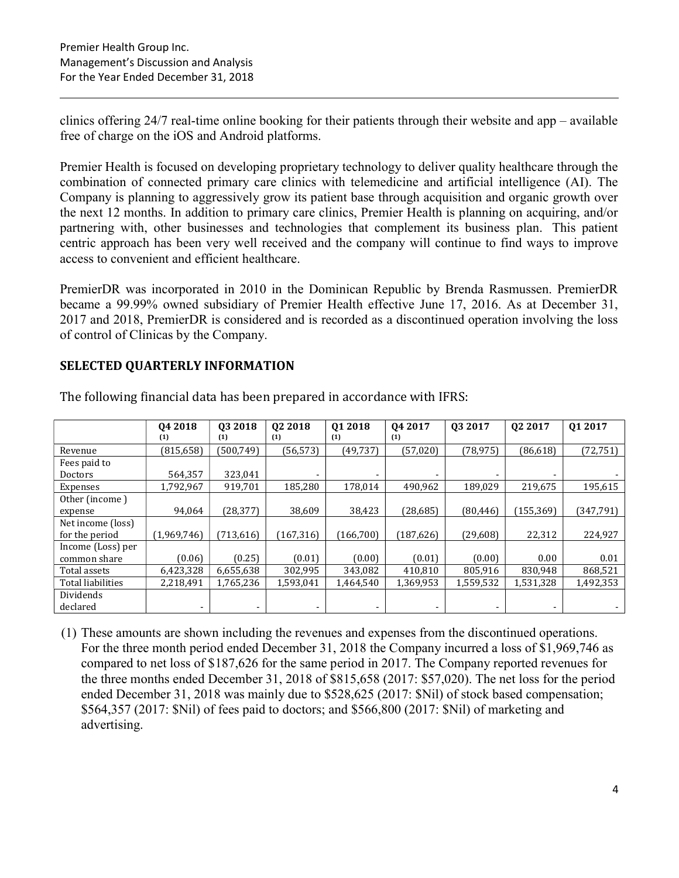clinics offering 24/7 real-time online booking for their patients through their website and app – available free of charge on the iOS and Android platforms.

Premier Health is focused on developing proprietary technology to deliver quality healthcare through the combination of connected primary care clinics with telemedicine and artificial intelligence (AI). The Company is planning to aggressively grow its patient base through acquisition and organic growth over the next 12 months. In addition to primary care clinics, Premier Health is planning on acquiring, and/or partnering with, other businesses and technologies that complement its business plan. This patient centric approach has been very well received and the company will continue to find ways to improve access to convenient and efficient healthcare.

PremierDR was incorporated in 2010 in the Dominican Republic by Brenda Rasmussen. PremierDR became a 99.99% owned subsidiary of Premier Health effective June 17, 2016. As at December 31, 2017 and 2018, PremierDR is considered and is recorded as a discontinued operation involving the loss of control of Clinicas by the Company.

## SELECTED QUARTERLY INFORMATION

|                   | Q4 2018     | 03 2018    | 02 2018    | 01 2018                  | Q4 2017                  | 03 2017   | Q <sub>2</sub> 2017 | Q1 2017    |
|-------------------|-------------|------------|------------|--------------------------|--------------------------|-----------|---------------------|------------|
|                   | (1)         | (1)        | (1)        | (1)                      | (1)                      |           |                     |            |
| Revenue           | (815, 658)  | (500, 749) | (56, 573)  | (49, 737)                | (57,020)                 | (78, 975) | (86, 618)           | (72, 751)  |
| Fees paid to      |             |            |            |                          |                          |           |                     |            |
| Doctors           | 564,357     | 323,041    |            |                          | -                        |           |                     |            |
| Expenses          | 1,792,967   | 919,701    | 185,280    | 178,014                  | 490,962                  | 189,029   | 219,675             | 195,615    |
| Other (income)    |             |            |            |                          |                          |           |                     |            |
| expense           | 94,064      | (28, 377)  | 38,609     | 38,423                   | (28, 685)                | (80, 446) | (155, 369)          | (347, 791) |
| Net income (loss) |             |            |            |                          |                          |           |                     |            |
| for the period    | (1,969,746) | (713, 616) | (167, 316) | (166, 700)               | (187, 626)               | (29,608)  | 22,312              | 224,927    |
| Income (Loss) per |             |            |            |                          |                          |           |                     |            |
| common share      | (0.06)      | (0.25)     | (0.01)     | (0.00)                   | (0.01)                   | (0.00)    | 0.00                | 0.01       |
| Total assets      | 6,423,328   | 6,655,638  | 302,995    | 343,082                  | 410,810                  | 805,916   | 830,948             | 868,521    |
| Total liabilities | 2,218,491   | 1,765,236  | 1,593,041  | 1,464,540                | 1,369,953                | 1,559,532 | 1,531,328           | 1,492,353  |
| Dividends         |             |            |            |                          |                          |           |                     |            |
| declared          |             |            |            | $\overline{\phantom{a}}$ | $\overline{\phantom{0}}$ |           |                     |            |

The following financial data has been prepared in accordance with IFRS:

(1) These amounts are shown including the revenues and expenses from the discontinued operations. For the three month period ended December 31, 2018 the Company incurred a loss of \$1,969,746 as compared to net loss of \$187,626 for the same period in 2017. The Company reported revenues for the three months ended December 31, 2018 of \$815,658 (2017: \$57,020). The net loss for the period ended December 31, 2018 was mainly due to \$528,625 (2017: \$Nil) of stock based compensation; \$564,357 (2017: \$Nil) of fees paid to doctors; and \$566,800 (2017: \$Nil) of marketing and advertising.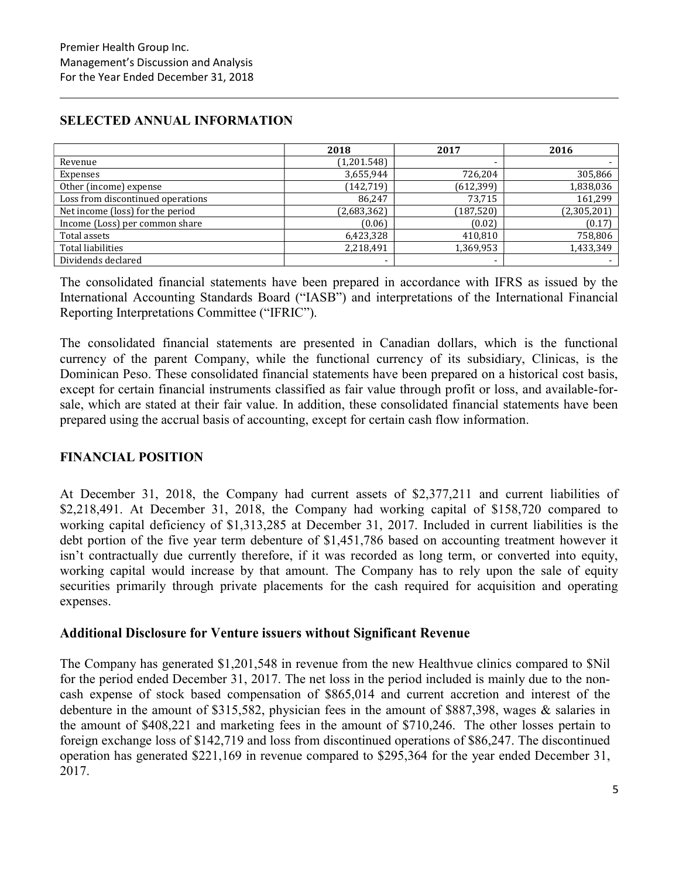## SELECTED ANNUAL INFORMATION

|                                   | 2018        | 2017       | 2016        |
|-----------------------------------|-------------|------------|-------------|
| Revenue                           | (1,201.548) |            |             |
| Expenses                          | 3,655,944   | 726,204    | 305,866     |
| Other (income) expense            | (142, 719)  | (612, 399) | 1,838,036   |
| Loss from discontinued operations | 86,247      | 73.715     | 161,299     |
| Net income (loss) for the period  | (2,683,362) | (187, 520) | (2,305,201) |
| Income (Loss) per common share    | (0.06)      | (0.02)     | (0.17)      |
| Total assets                      | 6,423,328   | 410,810    | 758,806     |
| <b>Total liabilities</b>          | 2,218,491   | 1,369,953  | 1,433,349   |
| Dividends declared                | -           | ۰          |             |

The consolidated financial statements have been prepared in accordance with IFRS as issued by the International Accounting Standards Board ("IASB") and interpretations of the International Financial Reporting Interpretations Committee ("IFRIC").

The consolidated financial statements are presented in Canadian dollars, which is the functional currency of the parent Company, while the functional currency of its subsidiary, Clinicas, is the Dominican Peso. These consolidated financial statements have been prepared on a historical cost basis, except for certain financial instruments classified as fair value through profit or loss, and available-forsale, which are stated at their fair value. In addition, these consolidated financial statements have been prepared using the accrual basis of accounting, except for certain cash flow information.

## FINANCIAL POSITION

At December 31, 2018, the Company had current assets of \$2,377,211 and current liabilities of \$2,218,491. At December 31, 2018, the Company had working capital of \$158,720 compared to working capital deficiency of \$1,313,285 at December 31, 2017. Included in current liabilities is the debt portion of the five year term debenture of \$1,451,786 based on accounting treatment however it isn't contractually due currently therefore, if it was recorded as long term, or converted into equity, working capital would increase by that amount. The Company has to rely upon the sale of equity securities primarily through private placements for the cash required for acquisition and operating expenses.

## Additional Disclosure for Venture issuers without Significant Revenue

The Company has generated \$1,201,548 in revenue from the new Healthvue clinics compared to \$Nil for the period ended December 31, 2017. The net loss in the period included is mainly due to the noncash expense of stock based compensation of \$865,014 and current accretion and interest of the debenture in the amount of \$315,582, physician fees in the amount of \$887,398, wages & salaries in the amount of \$408,221 and marketing fees in the amount of \$710,246. The other losses pertain to foreign exchange loss of \$142,719 and loss from discontinued operations of \$86,247. The discontinued operation has generated \$221,169 in revenue compared to \$295,364 for the year ended December 31, 2017.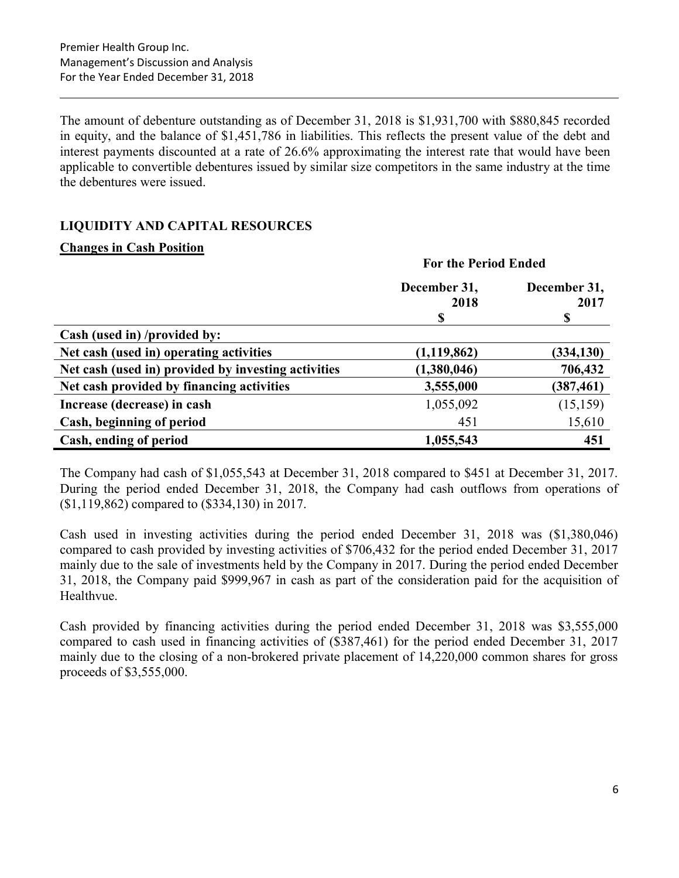The amount of debenture outstanding as of December 31, 2018 is \$1,931,700 with \$880,845 recorded in equity, and the balance of \$1,451,786 in liabilities. This reflects the present value of the debt and interest payments discounted at a rate of 26.6% approximating the interest rate that would have been applicable to convertible debentures issued by similar size competitors in the same industry at the time the debentures were issued.

## LIQUIDITY AND CAPITAL RESOURCES

#### Changes in Cash Position

|                                                     | <b>For the Period Ended</b> |                      |  |  |
|-----------------------------------------------------|-----------------------------|----------------------|--|--|
|                                                     | December 31,<br>2018        | December 31,<br>2017 |  |  |
|                                                     | \$                          | \$                   |  |  |
| Cash (used in) /provided by:                        |                             |                      |  |  |
| Net cash (used in) operating activities             | (1, 119, 862)               | (334, 130)           |  |  |
| Net cash (used in) provided by investing activities | (1,380,046)                 | 706,432              |  |  |
| Net cash provided by financing activities           | 3,555,000                   | (387, 461)           |  |  |
| Increase (decrease) in cash                         | 1,055,092                   | (15, 159)            |  |  |
| Cash, beginning of period                           | 451                         | 15,610               |  |  |
| Cash, ending of period                              | 1,055,543                   | 451                  |  |  |

The Company had cash of \$1,055,543 at December 31, 2018 compared to \$451 at December 31, 2017. During the period ended December 31, 2018, the Company had cash outflows from operations of (\$1,119,862) compared to (\$334,130) in 2017.

Cash used in investing activities during the period ended December 31, 2018 was (\$1,380,046) compared to cash provided by investing activities of \$706,432 for the period ended December 31, 2017 mainly due to the sale of investments held by the Company in 2017. During the period ended December 31, 2018, the Company paid \$999,967 in cash as part of the consideration paid for the acquisition of Healthvue.

Cash provided by financing activities during the period ended December 31, 2018 was \$3,555,000 compared to cash used in financing activities of (\$387,461) for the period ended December 31, 2017 mainly due to the closing of a non-brokered private placement of 14,220,000 common shares for gross proceeds of \$3,555,000.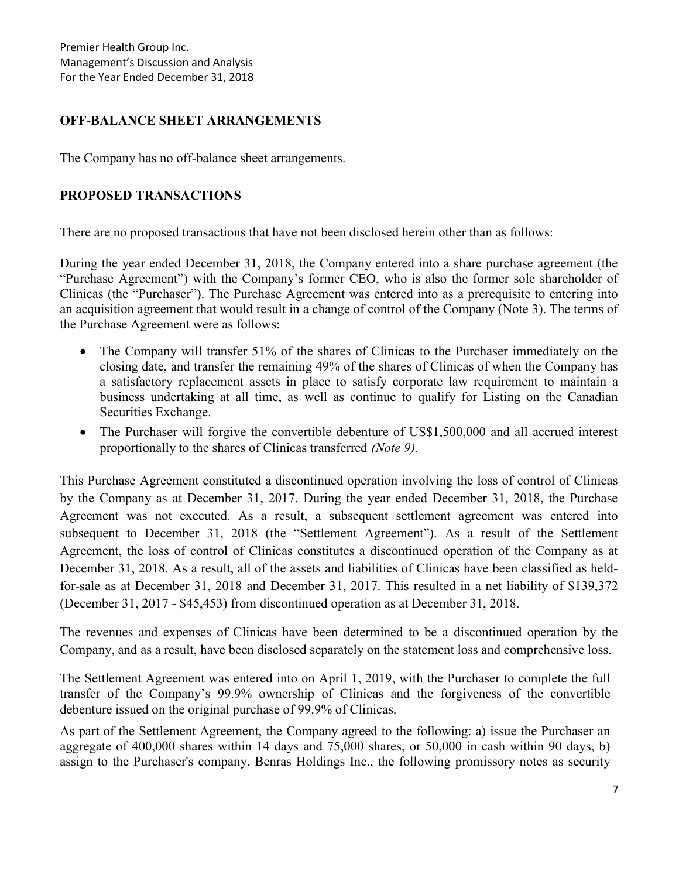## OFF-BALANCE SHEET ARRANGEMENTS

The Company has no off-balance sheet arrangements.

## PROPOSED TRANSACTIONS

There are no proposed transactions that have not been disclosed herein other than as follows:

During the year ended December 31, 2018, the Company entered into a share purchase agreement (the "Purchase Agreement") with the Company's former CEO, who is also the former sole shareholder of Clinicas (the "Purchaser"). The Purchase Agreement was entered into as a prerequisite to entering into an acquisition agreement that would result in a change of control of the Company (Note 3). The terms of the Purchase Agreement were as follows:

- The Company will transfer 51% of the shares of Clinicas to the Purchaser immediately on the closing date, and transfer the remaining 49% of the shares of Clinicas of when the Company has a satisfactory replacement assets in place to satisfy corporate law requirement to maintain a business undertaking at all time, as well as continue to qualify for Listing on the Canadian Securities Exchange.
- The Purchaser will forgive the convertible debenture of US\$1,500,000 and all accrued interest proportionally to the shares of Clinicas transferred (Note 9).

This Purchase Agreement constituted a discontinued operation involving the loss of control of Clinicas by the Company as at December 31, 2017. During the year ended December 31, 2018, the Purchase Agreement was not executed. As a result, a subsequent settlement agreement was entered into subsequent to December 31, 2018 (the "Settlement Agreement"). As a result of the Settlement Agreement, the loss of control of Clinicas constitutes a discontinued operation of the Company as at December 31, 2018. As a result, all of the assets and liabilities of Clinicas have been classified as heldfor-sale as at December 31, 2018 and December 31, 2017. This resulted in a net liability of \$139,372 (December 31, 2017 - \$45,453) from discontinued operation as at December 31, 2018.

The revenues and expenses of Clinicas have been determined to be a discontinued operation by the Company, and as a result, have been disclosed separately on the statement loss and comprehensive loss.

The Settlement Agreement was entered into on April 1, 2019, with the Purchaser to complete the full transfer of the Company's 99.9% ownership of Clinicas and the forgiveness of the convertible debenture issued on the original purchase of 99.9% of Clinicas.

As part of the Settlement Agreement, the Company agreed to the following: a) issue the Purchaser an aggregate of 400,000 shares within 14 days and 75,000 shares, or 50,000 in cash within 90 days, b) assign to the Purchaser's company, Benras Holdings Inc., the following promissory notes as security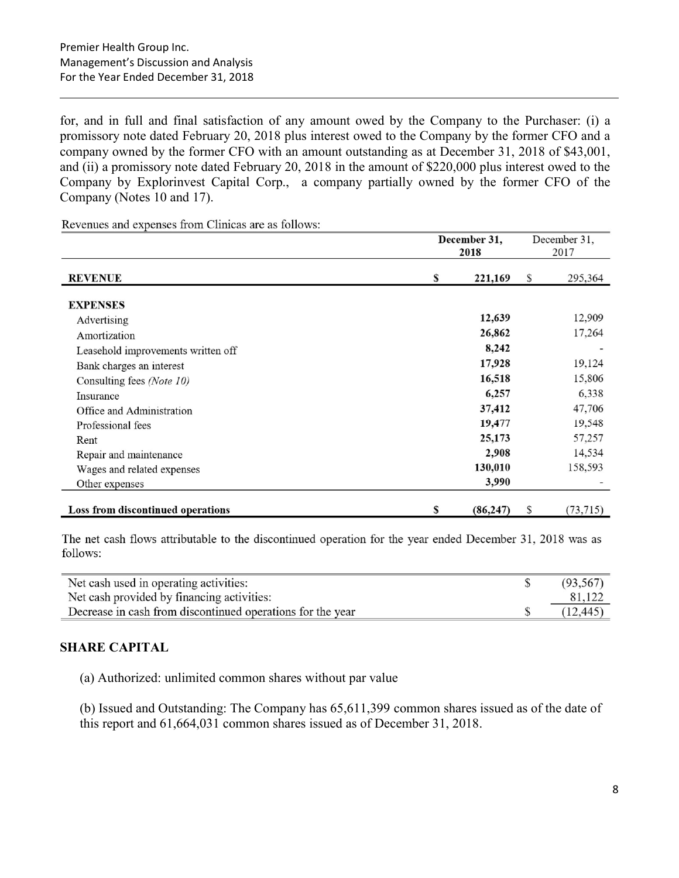for, and in full and final satisfaction of any amount owed by the Company to the Purchaser: (i) a promissory note dated February 20, 2018 plus interest owed to the Company by the former CFO and a company owned by the former CFO with an amount outstanding as at December 31, 2018 of \$43,001, and (ii) a promissory note dated February 20, 2018 in the amount of \$220,000 plus interest owed to the Company by Explorinvest Capital Corp., a company partially owned by the former CFO of the Company (Notes 10 and 17).

Revenues and expenses from Clinicas are as follows:

|                                    |    | December 31, |   | December 31,             |
|------------------------------------|----|--------------|---|--------------------------|
|                                    |    | 2018         |   | 2017                     |
| <b>REVENUE</b>                     | S  | 221,169      | S | 295,364                  |
| <b>EXPENSES</b>                    |    |              |   |                          |
| Advertising                        |    | 12,639       |   | 12,909                   |
| Amortization                       |    | 26,862       |   | 17,264                   |
| Leasehold improvements written off |    | 8,242        |   | $\overline{\phantom{a}}$ |
| Bank charges an interest           |    | 17,928       |   | 19,124                   |
| Consulting fees (Note 10)          |    | 16,518       |   | 15,806                   |
| Insurance                          |    | 6,257        |   | 6,338                    |
| Office and Administration          |    | 37,412       |   | 47,706                   |
| Professional fees                  |    | 19,477       |   | 19,548                   |
| Rent                               |    | 25,173       |   | 57,257                   |
| Repair and maintenance             |    | 2,908        |   | 14,534                   |
| Wages and related expenses         |    | 130,010      |   | 158,593                  |
| Other expenses                     |    | 3,990        |   |                          |
| Loss from discontinued operations  | \$ | (86, 247)    | S | (73,715)                 |

The net cash flows attributable to the discontinued operation for the year ended December 31, 2018 was as follows:

| Net cash used in operating activities:                     | (93, 567) |
|------------------------------------------------------------|-----------|
| Net cash provided by financing activities:                 |           |
| Decrease in cash from discontinued operations for the year | (12, 445) |

## SHARE CAPITAL

(a) Authorized: unlimited common shares without par value

(b) Issued and Outstanding: The Company has 65,611,399 common shares issued as of the date of this report and 61,664,031 common shares issued as of December 31, 2018.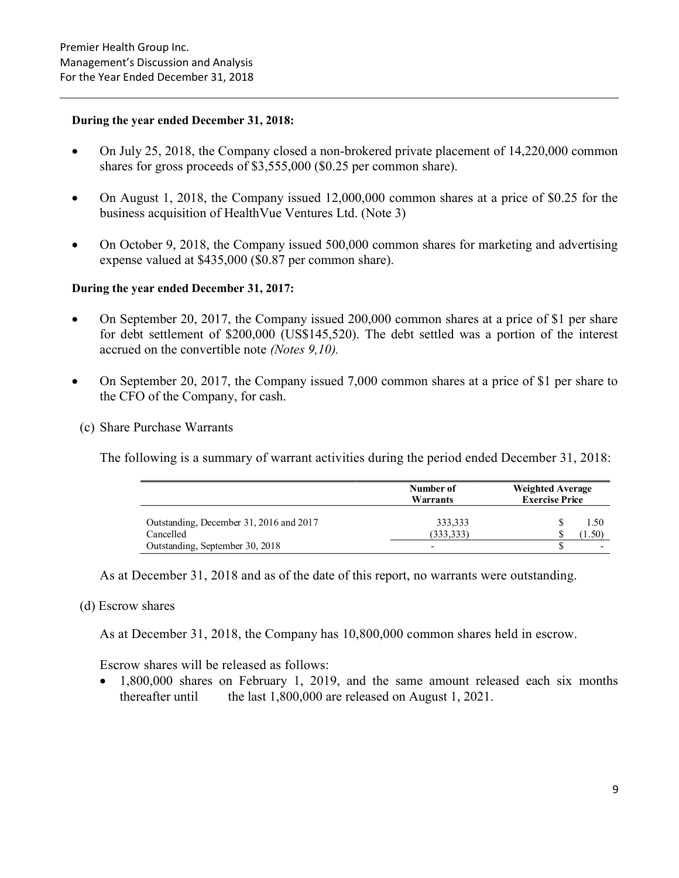#### During the year ended December 31, 2018:

- On July 25, 2018, the Company closed a non-brokered private placement of 14,220,000 common shares for gross proceeds of \$3,555,000 (\$0.25 per common share).
- On August 1, 2018, the Company issued 12,000,000 common shares at a price of \$0.25 for the business acquisition of HealthVue Ventures Ltd. (Note 3)
- On October 9, 2018, the Company issued 500,000 common shares for marketing and advertising expense valued at \$435,000 (\$0.87 per common share).

#### During the year ended December 31, 2017:

- On September 20, 2017, the Company issued 200,000 common shares at a price of \$1 per share for debt settlement of \$200,000 (US\$145,520). The debt settled was a portion of the interest accrued on the convertible note (Notes 9,10).
- On September 20, 2017, the Company issued 7,000 common shares at a price of \$1 per share to the CFO of the Company, for cash.
	- (c) Share Purchase Warrants

The following is a summary of warrant activities during the period ended December 31, 2018:

|                                         | Number of<br>Warrants    | <b>Weighted Average</b><br><b>Exercise Price</b> |  |  |
|-----------------------------------------|--------------------------|--------------------------------------------------|--|--|
| Outstanding, December 31, 2016 and 2017 | 333,333                  | 1.50                                             |  |  |
| Cancelled                               | (333, 333)               | $4.50^{\circ}$                                   |  |  |
| Outstanding, September 30, 2018         | $\overline{\phantom{0}}$ |                                                  |  |  |

As at December 31, 2018 and as of the date of this report, no warrants were outstanding.

#### (d) Escrow shares

As at December 31, 2018, the Company has 10,800,000 common shares held in escrow.

Escrow shares will be released as follows:

• 1,800,000 shares on February 1, 2019, and the same amount released each six months thereafter until the last 1,800,000 are released on August 1, 2021.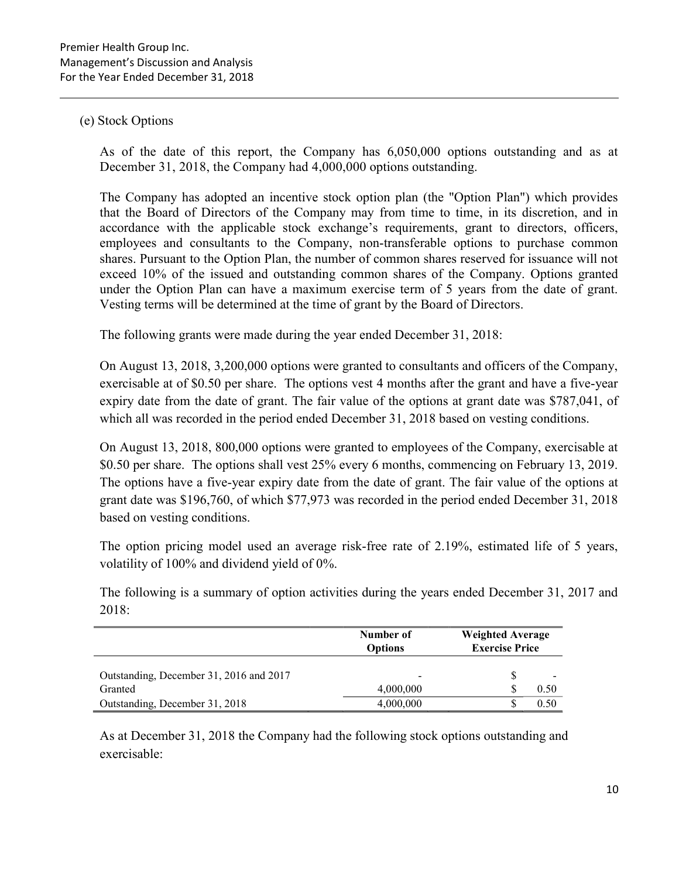#### (e) Stock Options

As of the date of this report, the Company has 6,050,000 options outstanding and as at December 31, 2018, the Company had 4,000,000 options outstanding.

The Company has adopted an incentive stock option plan (the "Option Plan") which provides that the Board of Directors of the Company may from time to time, in its discretion, and in accordance with the applicable stock exchange's requirements, grant to directors, officers, employees and consultants to the Company, non-transferable options to purchase common shares. Pursuant to the Option Plan, the number of common shares reserved for issuance will not exceed 10% of the issued and outstanding common shares of the Company. Options granted under the Option Plan can have a maximum exercise term of 5 years from the date of grant. Vesting terms will be determined at the time of grant by the Board of Directors.

The following grants were made during the year ended December 31, 2018:

On August 13, 2018, 3,200,000 options were granted to consultants and officers of the Company, exercisable at of \$0.50 per share. The options vest 4 months after the grant and have a five-year expiry date from the date of grant. The fair value of the options at grant date was \$787,041, of which all was recorded in the period ended December 31, 2018 based on vesting conditions.

On August 13, 2018, 800,000 options were granted to employees of the Company, exercisable at \$0.50 per share. The options shall vest 25% every 6 months, commencing on February 13, 2019. The options have a five-year expiry date from the date of grant. The fair value of the options at grant date was \$196,760, of which \$77,973 was recorded in the period ended December 31, 2018 based on vesting conditions.

The option pricing model used an average risk-free rate of 2.19%, estimated life of 5 years, volatility of 100% and dividend yield of 0%.

The following is a summary of option activities during the years ended December 31, 2017 and 2018:

|                                         | Number of<br><b>Weighted Average</b><br><b>Exercise Price</b><br><b>Options</b> |  |      |
|-----------------------------------------|---------------------------------------------------------------------------------|--|------|
| Outstanding, December 31, 2016 and 2017 |                                                                                 |  |      |
| Granted                                 | 4,000,000                                                                       |  | 0.50 |
| Outstanding, December 31, 2018          | 4,000,000                                                                       |  | 0.50 |

As at December 31, 2018 the Company had the following stock options outstanding and exercisable: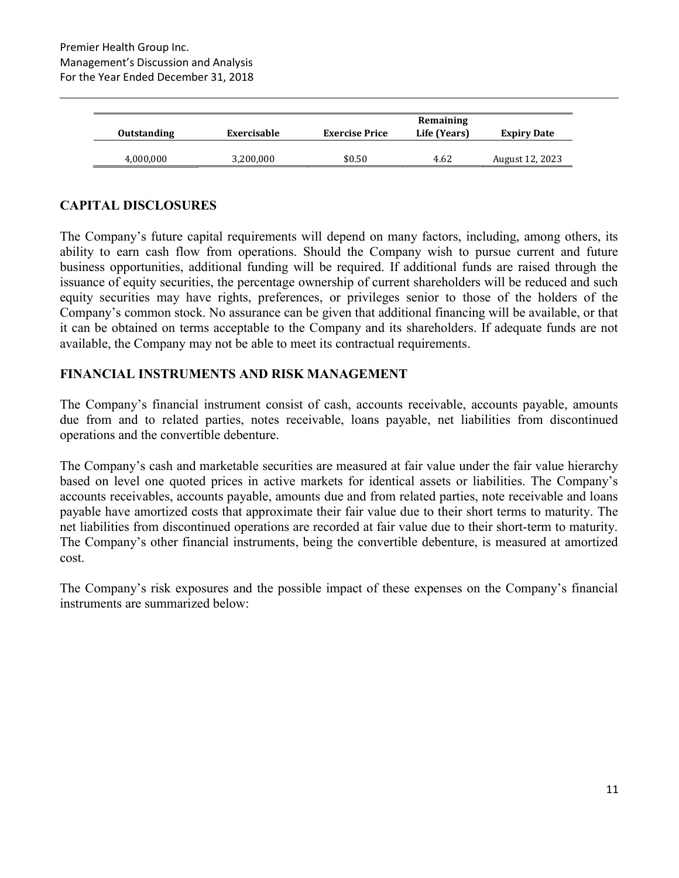| <b>Outstanding</b> | Exercisable | <b>Exercise Price</b> | Remaining<br>Life (Years) | <b>Expiry Date</b> |
|--------------------|-------------|-----------------------|---------------------------|--------------------|
| 4,000,000          | 3,200,000   | \$0.50                | 4.62                      | August 12, 2023    |

## CAPITAL DISCLOSURES

The Company's future capital requirements will depend on many factors, including, among others, its ability to earn cash flow from operations. Should the Company wish to pursue current and future business opportunities, additional funding will be required. If additional funds are raised through the issuance of equity securities, the percentage ownership of current shareholders will be reduced and such equity securities may have rights, preferences, or privileges senior to those of the holders of the Company's common stock. No assurance can be given that additional financing will be available, or that it can be obtained on terms acceptable to the Company and its shareholders. If adequate funds are not available, the Company may not be able to meet its contractual requirements.

#### FINANCIAL INSTRUMENTS AND RISK MANAGEMENT

The Company's financial instrument consist of cash, accounts receivable, accounts payable, amounts due from and to related parties, notes receivable, loans payable, net liabilities from discontinued operations and the convertible debenture.

The Company's cash and marketable securities are measured at fair value under the fair value hierarchy based on level one quoted prices in active markets for identical assets or liabilities. The Company's accounts receivables, accounts payable, amounts due and from related parties, note receivable and loans payable have amortized costs that approximate their fair value due to their short terms to maturity. The net liabilities from discontinued operations are recorded at fair value due to their short-term to maturity. The Company's other financial instruments, being the convertible debenture, is measured at amortized cost.

The Company's risk exposures and the possible impact of these expenses on the Company's financial instruments are summarized below: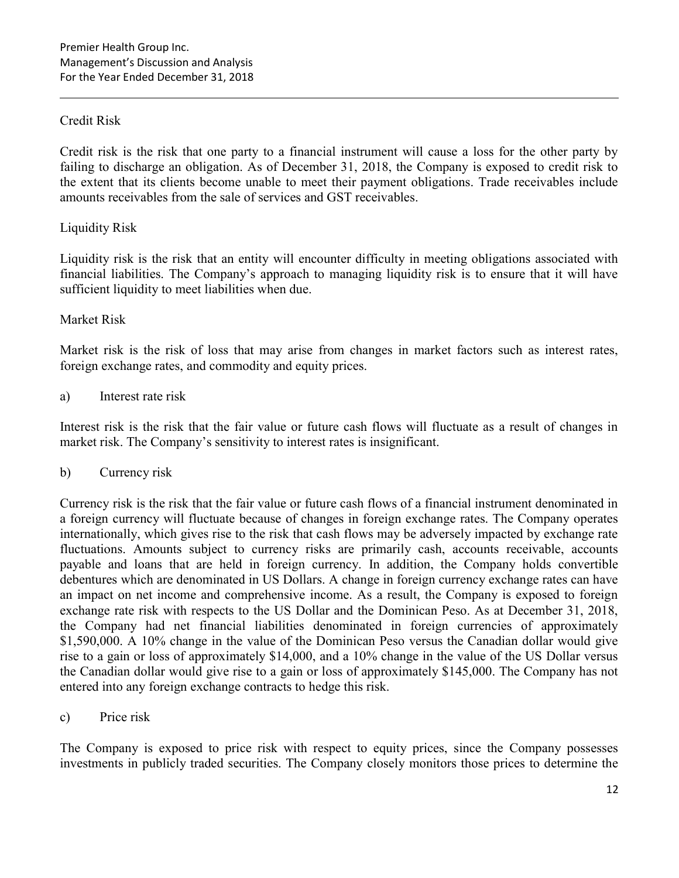## Credit Risk

Credit risk is the risk that one party to a financial instrument will cause a loss for the other party by failing to discharge an obligation. As of December 31, 2018, the Company is exposed to credit risk to the extent that its clients become unable to meet their payment obligations. Trade receivables include amounts receivables from the sale of services and GST receivables.

## Liquidity Risk

Liquidity risk is the risk that an entity will encounter difficulty in meeting obligations associated with financial liabilities. The Company's approach to managing liquidity risk is to ensure that it will have sufficient liquidity to meet liabilities when due.

## Market Risk

Market risk is the risk of loss that may arise from changes in market factors such as interest rates, foreign exchange rates, and commodity and equity prices.

## a) Interest rate risk

Interest risk is the risk that the fair value or future cash flows will fluctuate as a result of changes in market risk. The Company's sensitivity to interest rates is insignificant.

## b) Currency risk

Currency risk is the risk that the fair value or future cash flows of a financial instrument denominated in a foreign currency will fluctuate because of changes in foreign exchange rates. The Company operates internationally, which gives rise to the risk that cash flows may be adversely impacted by exchange rate fluctuations. Amounts subject to currency risks are primarily cash, accounts receivable, accounts payable and loans that are held in foreign currency. In addition, the Company holds convertible debentures which are denominated in US Dollars. A change in foreign currency exchange rates can have an impact on net income and comprehensive income. As a result, the Company is exposed to foreign exchange rate risk with respects to the US Dollar and the Dominican Peso. As at December 31, 2018, the Company had net financial liabilities denominated in foreign currencies of approximately \$1,590,000. A 10% change in the value of the Dominican Peso versus the Canadian dollar would give rise to a gain or loss of approximately \$14,000, and a 10% change in the value of the US Dollar versus the Canadian dollar would give rise to a gain or loss of approximately \$145,000. The Company has not entered into any foreign exchange contracts to hedge this risk.

c) Price risk

The Company is exposed to price risk with respect to equity prices, since the Company possesses investments in publicly traded securities. The Company closely monitors those prices to determine the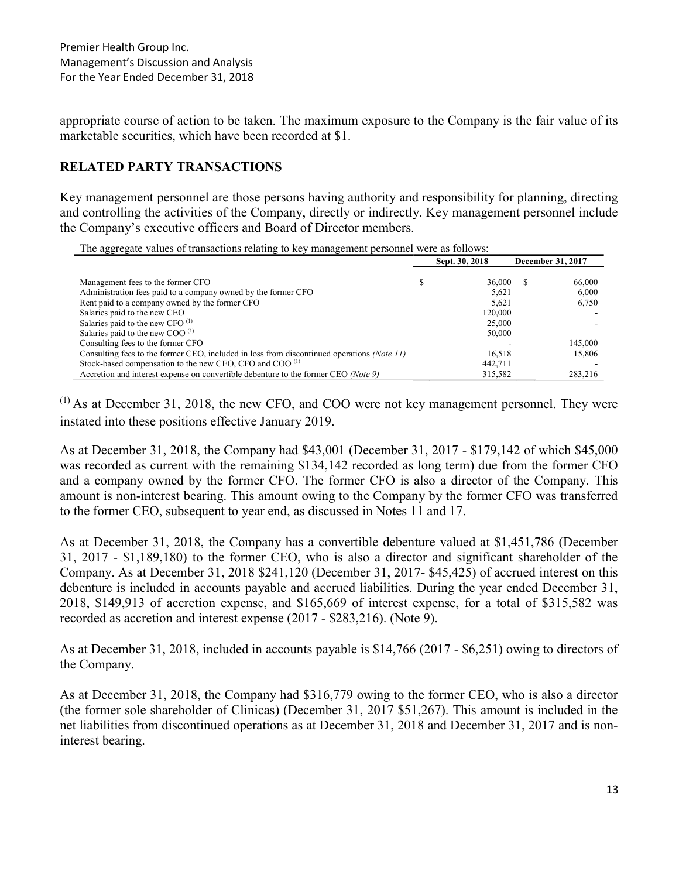appropriate course of action to be taken. The maximum exposure to the Company is the fair value of its marketable securities, which have been recorded at \$1.

## RELATED PARTY TRANSACTIONS

Key management personnel are those persons having authority and responsibility for planning, directing and controlling the activities of the Company, directly or indirectly. Key management personnel include the Company's executive officers and Board of Director members.

| The aggregate values of transactions relating to key management personnel were as follows: |  |
|--------------------------------------------------------------------------------------------|--|
|--------------------------------------------------------------------------------------------|--|

| The aggregate varies of transactions retaining to hey mainagement personner were as follows: |  |                |                   |         |  |  |
|----------------------------------------------------------------------------------------------|--|----------------|-------------------|---------|--|--|
|                                                                                              |  | Sept. 30, 2018 | December 31, 2017 |         |  |  |
|                                                                                              |  |                |                   |         |  |  |
| Management fees to the former CFO                                                            |  | 36,000         | S.                | 66,000  |  |  |
| Administration fees paid to a company owned by the former CFO                                |  | 5.621          |                   | 6.000   |  |  |
| Rent paid to a company owned by the former CFO                                               |  | 5.621          |                   | 6,750   |  |  |
| Salaries paid to the new CEO                                                                 |  | 120,000        |                   |         |  |  |
| Salaries paid to the new CFO <sup>(1)</sup>                                                  |  | 25,000         |                   |         |  |  |
| Salaries paid to the new COO $^{(1)}$                                                        |  | 50,000         |                   |         |  |  |
| Consulting fees to the former CFO                                                            |  |                |                   | 145,000 |  |  |
| Consulting fees to the former CEO, included in loss from discontinued operations (Note 11)   |  | 16,518         |                   | 15.806  |  |  |
| Stock-based compensation to the new CEO, CFO and COO <sup>(1)</sup>                          |  | 442.711        |                   |         |  |  |
| Accretion and interest expense on convertible debenture to the former CEO (Note 9)           |  | 315,582        |                   | 283,216 |  |  |

 $(1)$  As at December 31, 2018, the new CFO, and COO were not key management personnel. They were instated into these positions effective January 2019.

As at December 31, 2018, the Company had \$43,001 (December 31, 2017 - \$179,142 of which \$45,000 was recorded as current with the remaining \$134,142 recorded as long term) due from the former CFO and a company owned by the former CFO. The former CFO is also a director of the Company. This amount is non-interest bearing. This amount owing to the Company by the former CFO was transferred to the former CEO, subsequent to year end, as discussed in Notes 11 and 17.

As at December 31, 2018, the Company has a convertible debenture valued at \$1,451,786 (December 31, 2017 - \$1,189,180) to the former CEO, who is also a director and significant shareholder of the Company. As at December 31, 2018 \$241,120 (December 31, 2017- \$45,425) of accrued interest on this debenture is included in accounts payable and accrued liabilities. During the year ended December 31, 2018, \$149,913 of accretion expense, and \$165,669 of interest expense, for a total of \$315,582 was recorded as accretion and interest expense (2017 - \$283,216). (Note 9).

As at December 31, 2018, included in accounts payable is \$14,766 (2017 - \$6,251) owing to directors of the Company.

As at December 31, 2018, the Company had \$316,779 owing to the former CEO, who is also a director (the former sole shareholder of Clinicas) (December 31, 2017 \$51,267). This amount is included in the net liabilities from discontinued operations as at December 31, 2018 and December 31, 2017 and is noninterest bearing.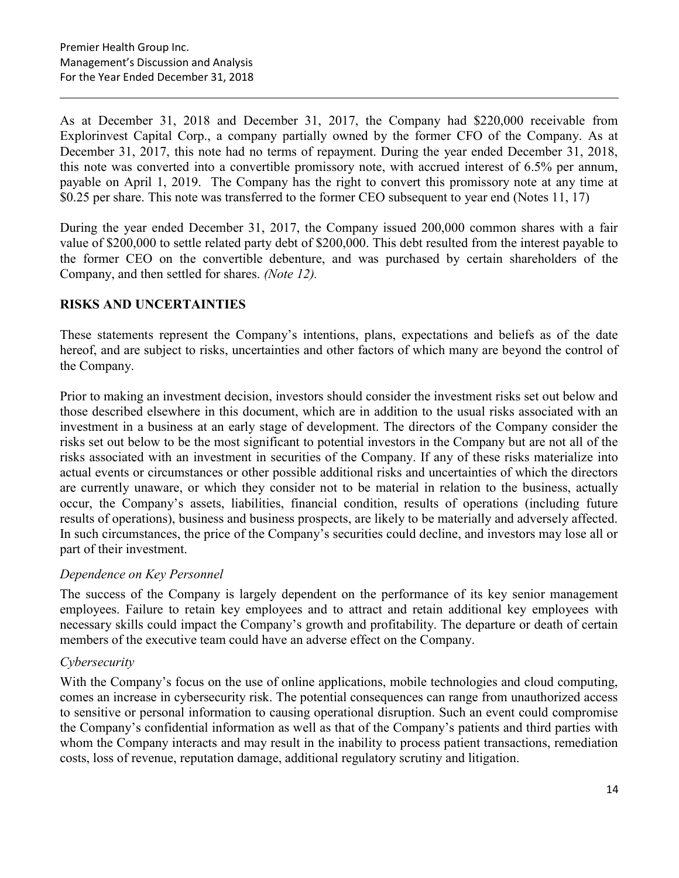As at December 31, 2018 and December 31, 2017, the Company had \$220,000 receivable from Explorinvest Capital Corp., a company partially owned by the former CFO of the Company. As at December 31, 2017, this note had no terms of repayment. During the year ended December 31, 2018, this note was converted into a convertible promissory note, with accrued interest of 6.5% per annum, payable on April 1, 2019. The Company has the right to convert this promissory note at any time at \$0.25 per share. This note was transferred to the former CEO subsequent to year end (Notes 11, 17)

During the year ended December 31, 2017, the Company issued 200,000 common shares with a fair value of \$200,000 to settle related party debt of \$200,000. This debt resulted from the interest payable to the former CEO on the convertible debenture, and was purchased by certain shareholders of the Company, and then settled for shares. (Note 12).

## RISKS AND UNCERTAINTIES

These statements represent the Company's intentions, plans, expectations and beliefs as of the date hereof, and are subject to risks, uncertainties and other factors of which many are beyond the control of the Company.

Prior to making an investment decision, investors should consider the investment risks set out below and those described elsewhere in this document, which are in addition to the usual risks associated with an investment in a business at an early stage of development. The directors of the Company consider the risks set out below to be the most significant to potential investors in the Company but are not all of the risks associated with an investment in securities of the Company. If any of these risks materialize into actual events or circumstances or other possible additional risks and uncertainties of which the directors are currently unaware, or which they consider not to be material in relation to the business, actually occur, the Company's assets, liabilities, financial condition, results of operations (including future results of operations), business and business prospects, are likely to be materially and adversely affected. In such circumstances, the price of the Company's securities could decline, and investors may lose all or part of their investment.

## Dependence on Key Personnel

The success of the Company is largely dependent on the performance of its key senior management employees. Failure to retain key employees and to attract and retain additional key employees with necessary skills could impact the Company's growth and profitability. The departure or death of certain members of the executive team could have an adverse effect on the Company.

## Cybersecurity

With the Company's focus on the use of online applications, mobile technologies and cloud computing, comes an increase in cybersecurity risk. The potential consequences can range from unauthorized access to sensitive or personal information to causing operational disruption. Such an event could compromise the Company's confidential information as well as that of the Company's patients and third parties with whom the Company interacts and may result in the inability to process patient transactions, remediation costs, loss of revenue, reputation damage, additional regulatory scrutiny and litigation.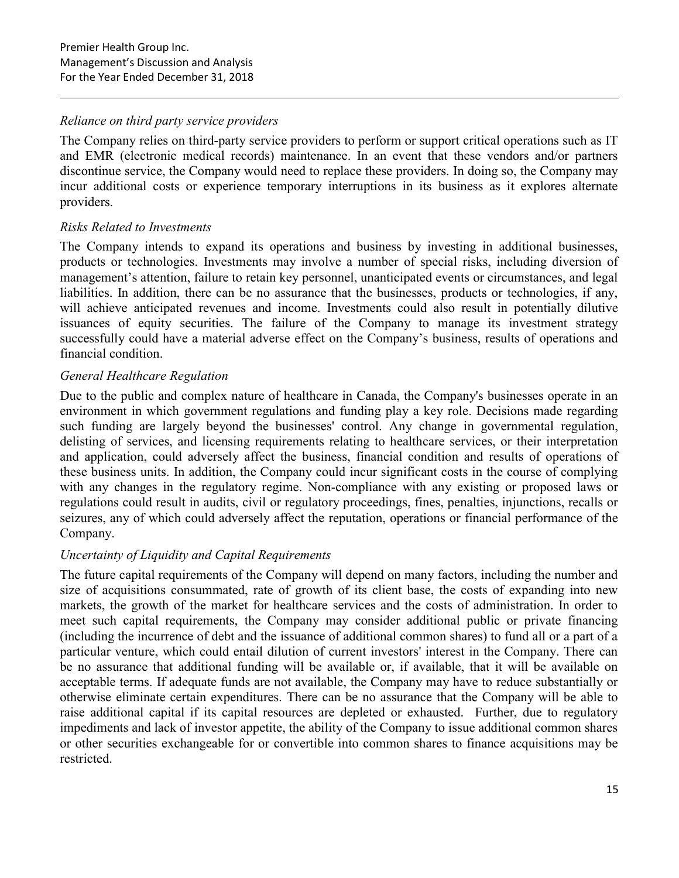## Reliance on third party service providers

The Company relies on third-party service providers to perform or support critical operations such as IT and EMR (electronic medical records) maintenance. In an event that these vendors and/or partners discontinue service, the Company would need to replace these providers. In doing so, the Company may incur additional costs or experience temporary interruptions in its business as it explores alternate providers.

## Risks Related to Investments

The Company intends to expand its operations and business by investing in additional businesses, products or technologies. Investments may involve a number of special risks, including diversion of management's attention, failure to retain key personnel, unanticipated events or circumstances, and legal liabilities. In addition, there can be no assurance that the businesses, products or technologies, if any, will achieve anticipated revenues and income. Investments could also result in potentially dilutive issuances of equity securities. The failure of the Company to manage its investment strategy successfully could have a material adverse effect on the Company's business, results of operations and financial condition.

## General Healthcare Regulation

Due to the public and complex nature of healthcare in Canada, the Company's businesses operate in an environment in which government regulations and funding play a key role. Decisions made regarding such funding are largely beyond the businesses' control. Any change in governmental regulation, delisting of services, and licensing requirements relating to healthcare services, or their interpretation and application, could adversely affect the business, financial condition and results of operations of these business units. In addition, the Company could incur significant costs in the course of complying with any changes in the regulatory regime. Non-compliance with any existing or proposed laws or regulations could result in audits, civil or regulatory proceedings, fines, penalties, injunctions, recalls or seizures, any of which could adversely affect the reputation, operations or financial performance of the Company.

## Uncertainty of Liquidity and Capital Requirements

The future capital requirements of the Company will depend on many factors, including the number and size of acquisitions consummated, rate of growth of its client base, the costs of expanding into new markets, the growth of the market for healthcare services and the costs of administration. In order to meet such capital requirements, the Company may consider additional public or private financing (including the incurrence of debt and the issuance of additional common shares) to fund all or a part of a particular venture, which could entail dilution of current investors' interest in the Company. There can be no assurance that additional funding will be available or, if available, that it will be available on acceptable terms. If adequate funds are not available, the Company may have to reduce substantially or otherwise eliminate certain expenditures. There can be no assurance that the Company will be able to raise additional capital if its capital resources are depleted or exhausted. Further, due to regulatory impediments and lack of investor appetite, the ability of the Company to issue additional common shares or other securities exchangeable for or convertible into common shares to finance acquisitions may be restricted.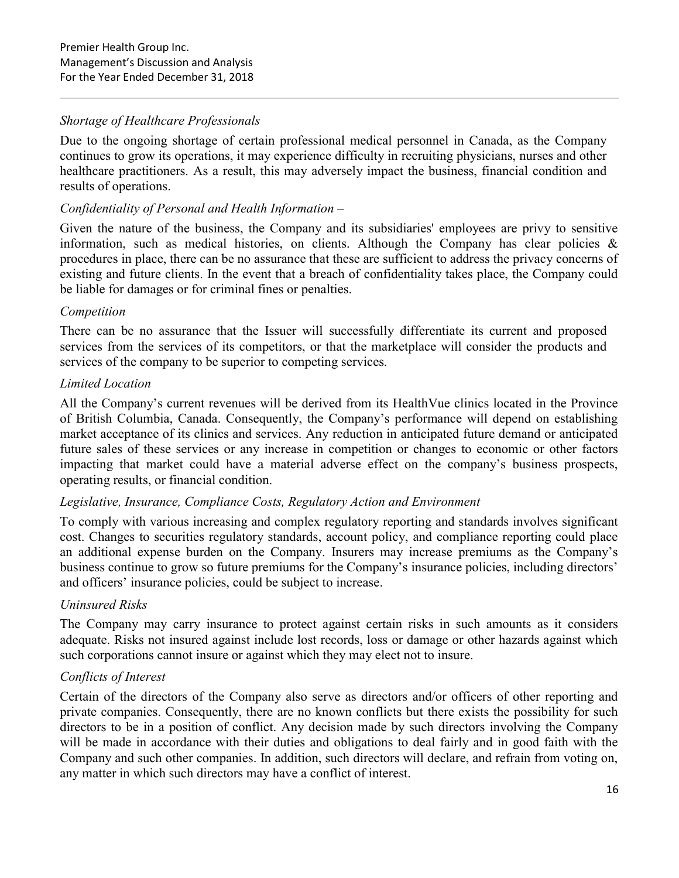## Shortage of Healthcare Professionals

Due to the ongoing shortage of certain professional medical personnel in Canada, as the Company continues to grow its operations, it may experience difficulty in recruiting physicians, nurses and other healthcare practitioners. As a result, this may adversely impact the business, financial condition and results of operations.

## Confidentiality of Personal and Health Information –

Given the nature of the business, the Company and its subsidiaries' employees are privy to sensitive information, such as medical histories, on clients. Although the Company has clear policies  $\&$ procedures in place, there can be no assurance that these are sufficient to address the privacy concerns of existing and future clients. In the event that a breach of confidentiality takes place, the Company could be liable for damages or for criminal fines or penalties.

#### Competition

There can be no assurance that the Issuer will successfully differentiate its current and proposed services from the services of its competitors, or that the marketplace will consider the products and services of the company to be superior to competing services.

## Limited Location

All the Company's current revenues will be derived from its HealthVue clinics located in the Province of British Columbia, Canada. Consequently, the Company's performance will depend on establishing market acceptance of its clinics and services. Any reduction in anticipated future demand or anticipated future sales of these services or any increase in competition or changes to economic or other factors impacting that market could have a material adverse effect on the company's business prospects, operating results, or financial condition.

## Legislative, Insurance, Compliance Costs, Regulatory Action and Environment

To comply with various increasing and complex regulatory reporting and standards involves significant cost. Changes to securities regulatory standards, account policy, and compliance reporting could place an additional expense burden on the Company. Insurers may increase premiums as the Company's business continue to grow so future premiums for the Company's insurance policies, including directors' and officers' insurance policies, could be subject to increase.

## Uninsured Risks

The Company may carry insurance to protect against certain risks in such amounts as it considers adequate. Risks not insured against include lost records, loss or damage or other hazards against which such corporations cannot insure or against which they may elect not to insure.

## Conflicts of Interest

Certain of the directors of the Company also serve as directors and/or officers of other reporting and private companies. Consequently, there are no known conflicts but there exists the possibility for such directors to be in a position of conflict. Any decision made by such directors involving the Company will be made in accordance with their duties and obligations to deal fairly and in good faith with the Company and such other companies. In addition, such directors will declare, and refrain from voting on, any matter in which such directors may have a conflict of interest.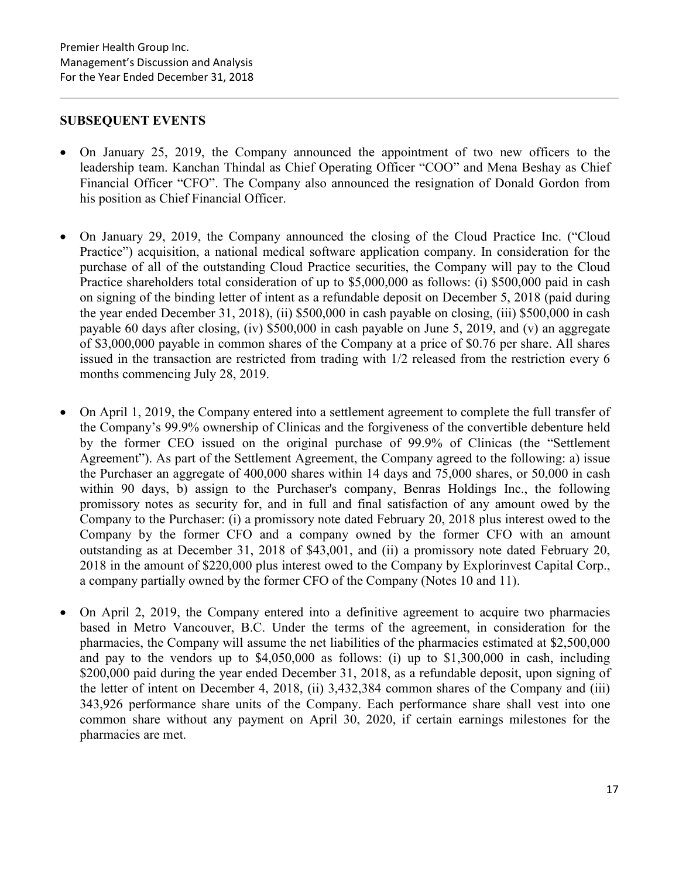#### SUBSEQUENT EVENTS

- On January 25, 2019, the Company announced the appointment of two new officers to the leadership team. Kanchan Thindal as Chief Operating Officer "COO" and Mena Beshay as Chief Financial Officer "CFO". The Company also announced the resignation of Donald Gordon from his position as Chief Financial Officer.
- On January 29, 2019, the Company announced the closing of the Cloud Practice Inc. ("Cloud Practice") acquisition, a national medical software application company. In consideration for the purchase of all of the outstanding Cloud Practice securities, the Company will pay to the Cloud Practice shareholders total consideration of up to \$5,000,000 as follows: (i) \$500,000 paid in cash on signing of the binding letter of intent as a refundable deposit on December 5, 2018 (paid during the year ended December 31, 2018), (ii) \$500,000 in cash payable on closing, (iii) \$500,000 in cash payable 60 days after closing, (iv) \$500,000 in cash payable on June 5, 2019, and (v) an aggregate of \$3,000,000 payable in common shares of the Company at a price of \$0.76 per share. All shares issued in the transaction are restricted from trading with 1/2 released from the restriction every 6 months commencing July 28, 2019.
- On April 1, 2019, the Company entered into a settlement agreement to complete the full transfer of the Company's 99.9% ownership of Clinicas and the forgiveness of the convertible debenture held by the former CEO issued on the original purchase of 99.9% of Clinicas (the "Settlement Agreement"). As part of the Settlement Agreement, the Company agreed to the following: a) issue the Purchaser an aggregate of 400,000 shares within 14 days and 75,000 shares, or 50,000 in cash within 90 days, b) assign to the Purchaser's company, Benras Holdings Inc., the following promissory notes as security for, and in full and final satisfaction of any amount owed by the Company to the Purchaser: (i) a promissory note dated February 20, 2018 plus interest owed to the Company by the former CFO and a company owned by the former CFO with an amount outstanding as at December 31, 2018 of \$43,001, and (ii) a promissory note dated February 20, 2018 in the amount of \$220,000 plus interest owed to the Company by Explorinvest Capital Corp., a company partially owned by the former CFO of the Company (Notes 10 and 11).
- On April 2, 2019, the Company entered into a definitive agreement to acquire two pharmacies based in Metro Vancouver, B.C. Under the terms of the agreement, in consideration for the pharmacies, the Company will assume the net liabilities of the pharmacies estimated at \$2,500,000 and pay to the vendors up to \$4,050,000 as follows: (i) up to \$1,300,000 in cash, including \$200,000 paid during the year ended December 31, 2018, as a refundable deposit, upon signing of the letter of intent on December 4, 2018, (ii) 3,432,384 common shares of the Company and (iii) 343,926 performance share units of the Company. Each performance share shall vest into one common share without any payment on April 30, 2020, if certain earnings milestones for the pharmacies are met.